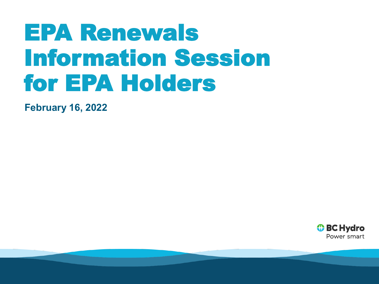# EPA Renewals Information Session for EPA Holders

**February 16, 2022**

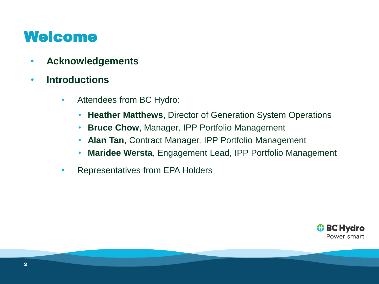#### Welcome

- **Acknowledgements**
- **Introductions**
	- Attendees from BC Hydro:
		- **Heather Matthews**, Director of Generation System Operations
		- **Bruce Chow**, Manager, IPP Portfolio Management
		- **Alan Tan**, Contract Manager, IPP Portfolio Management
		- **Maridee Wersta**, Engagement Lead, IPP Portfolio Management
	- Representatives from EPA Holders

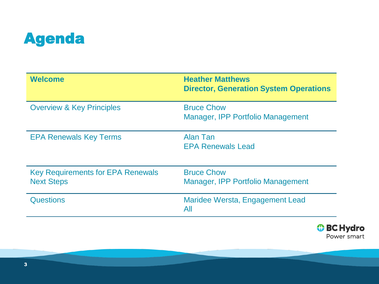

| <b>Welcome</b>                                                | <b>Heather Matthews</b><br><b>Director, Generation System Operations</b> |
|---------------------------------------------------------------|--------------------------------------------------------------------------|
| <b>Overview &amp; Key Principles</b>                          | <b>Bruce Chow</b><br>Manager, IPP Portfolio Management                   |
| <b>EPA Renewals Key Terms</b>                                 | Alan Tan<br><b>EPA Renewals Lead</b>                                     |
| <b>Key Requirements for EPA Renewals</b><br><b>Next Steps</b> | <b>Bruce Chow</b><br>Manager, IPP Portfolio Management                   |
| <b>Questions</b>                                              | Maridee Wersta, Engagement Lead<br>All                                   |

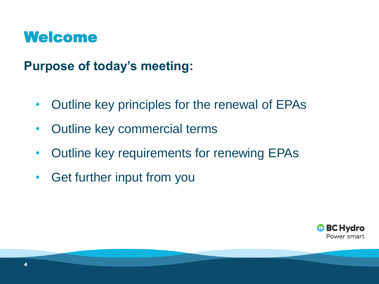#### Welcome

**Purpose of today's meeting:**

- Outline key principles for the renewal of EPAs
- Outline key commercial terms
- Outline key requirements for renewing EPAs
- Get further input from you

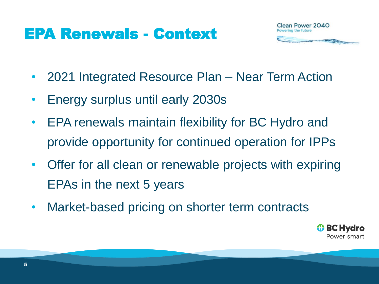### EPA Renewals - Context



- 2021 Integrated Resource Plan Near Term Action
- Energy surplus until early 2030s
- EPA renewals maintain flexibility for BC Hydro and provide opportunity for continued operation for IPPs
- Offer for all clean or renewable projects with expiring EPAs in the next 5 years
- Market-based pricing on shorter term contracts

**↔ BC Hydro** Power smart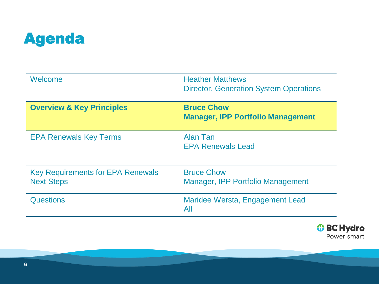

| Welcome                                                       | <b>Heather Matthews</b><br><b>Director, Generation System Operations</b> |
|---------------------------------------------------------------|--------------------------------------------------------------------------|
| <b>Overview &amp; Key Principles</b>                          | <b>Bruce Chow</b><br><b>Manager, IPP Portfolio Management</b>            |
| <b>EPA Renewals Key Terms</b>                                 | Alan Tan<br><b>EPA Renewals Lead</b>                                     |
| <b>Key Requirements for EPA Renewals</b><br><b>Next Steps</b> | <b>Bruce Chow</b><br>Manager, IPP Portfolio Management                   |
| Questions                                                     | Maridee Wersta, Engagement Lead<br>All                                   |

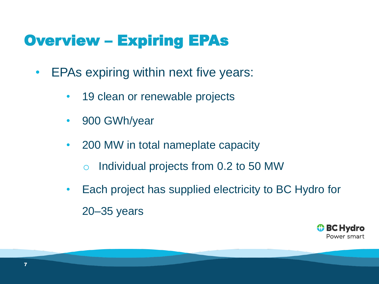### Overview – Expiring EPAs

- EPAs expiring within next five years:
	- 19 clean or renewable projects
	- 900 GWh/year
	- 200 MW in total nameplate capacity
		- o Individual projects from 0.2 to 50 MW
	- Each project has supplied electricity to BC Hydro for 20–35 years

*O* BC Hydro Power smart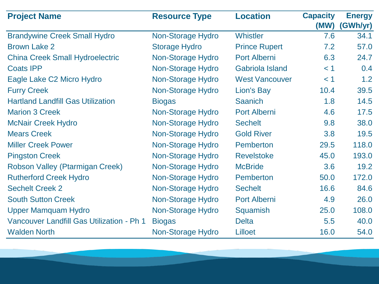| <b>Project Name</b>                       | <b>Resource Type</b> | <b>Location</b>        | <b>Capacity</b> | <b>Energy</b> |
|-------------------------------------------|----------------------|------------------------|-----------------|---------------|
|                                           |                      |                        | (MW)            | (GWh/yr)      |
| <b>Brandywine Creek Small Hydro</b>       | Non-Storage Hydro    | <b>Whistler</b>        | 7.6             | 34.1          |
| <b>Brown Lake 2</b>                       | <b>Storage Hydro</b> | <b>Prince Rupert</b>   | 7.2             | 57.0          |
| <b>China Creek Small Hydroelectric</b>    | Non-Storage Hydro    | <b>Port Alberni</b>    | 6.3             | 24.7          |
| <b>Coats IPP</b>                          | Non-Storage Hydro    | <b>Gabriola Island</b> | < 1             | 0.4           |
| Eagle Lake C2 Micro Hydro                 | Non-Storage Hydro    | <b>West Vancouver</b>  | < 1             | 1.2           |
| <b>Furry Creek</b>                        | Non-Storage Hydro    | Lion's Bay             | 10.4            | 39.5          |
| <b>Hartland Landfill Gas Utilization</b>  | <b>Biogas</b>        | <b>Saanich</b>         | 1.8             | 14.5          |
| <b>Marion 3 Creek</b>                     | Non-Storage Hydro    | Port Alberni           | 4.6             | 17.5          |
| <b>McNair Creek Hydro</b>                 | Non-Storage Hydro    | <b>Sechelt</b>         | 9.8             | 38.0          |
| <b>Mears Creek</b>                        | Non-Storage Hydro    | <b>Gold River</b>      | 3.8             | 19.5          |
| <b>Miller Creek Power</b>                 | Non-Storage Hydro    | Pemberton              | 29.5            | 118.0         |
| <b>Pingston Creek</b>                     | Non-Storage Hydro    | <b>Revelstoke</b>      | 45.0            | 193.0         |
| Robson Valley (Ptarmigan Creek)           | Non-Storage Hydro    | <b>McBride</b>         | 3.6             | 19.2          |
| <b>Rutherford Creek Hydro</b>             | Non-Storage Hydro    | Pemberton              | 50.0            | 172.0         |
| <b>Sechelt Creek 2</b>                    | Non-Storage Hydro    | <b>Sechelt</b>         | 16.6            | 84.6          |
| <b>South Sutton Creek</b>                 | Non-Storage Hydro    | Port Alberni           | 4.9             | 26.0          |
| <b>Upper Mamquam Hydro</b>                | Non-Storage Hydro    | Squamish               | 25.0            | 108.0         |
| Vancouver Landfill Gas Utilization - Ph 1 | <b>Biogas</b>        | <b>Delta</b>           | 5.5             | 40.0          |
| <b>Walden North</b>                       | Non-Storage Hydro    | Lilloet                | 16.0            | 54.0          |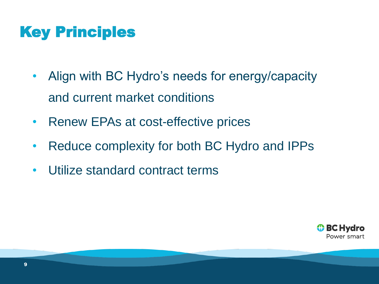## Key Principles

- Align with BC Hydro's needs for energy/capacity and current market conditions
- Renew EPAs at cost-effective prices
- Reduce complexity for both BC Hydro and IPPs
- Utilize standard contract terms

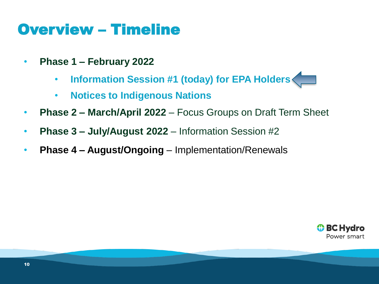#### Overview – Timeline

- **Phase 1 – February 2022** 
	- **Information Session #1 (today) for EPA Holders**
	- **Notices to Indigenous Nations**
- **Phase 2 – March/April 2022**  Focus Groups on Draft Term Sheet
- **Phase 3 – July/August 2022**  Information Session #2
- **Phase 4 – August/Ongoing**  Implementation/Renewals

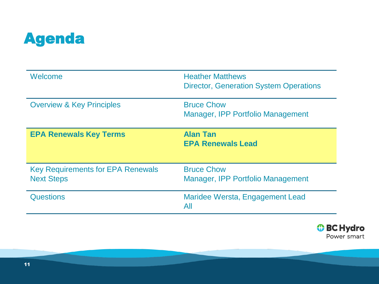

| Welcome                                                       | <b>Heather Matthews</b><br><b>Director, Generation System Operations</b> |
|---------------------------------------------------------------|--------------------------------------------------------------------------|
| <b>Overview &amp; Key Principles</b>                          | <b>Bruce Chow</b><br>Manager, IPP Portfolio Management                   |
| <b>EPA Renewals Key Terms</b>                                 | <b>Alan Tan</b><br><b>EPA Renewals Lead</b>                              |
| <b>Key Requirements for EPA Renewals</b><br><b>Next Steps</b> | <b>Bruce Chow</b><br>Manager, IPP Portfolio Management                   |
| <b>Questions</b>                                              | Maridee Wersta, Engagement Lead<br>All                                   |

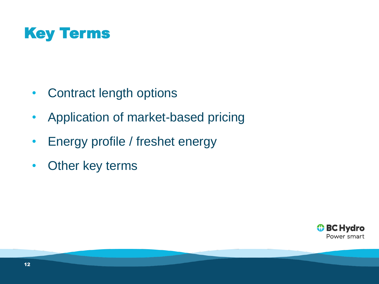

- Contract length options
- Application of market-based pricing
- Energy profile / freshet energy
- Other key terms

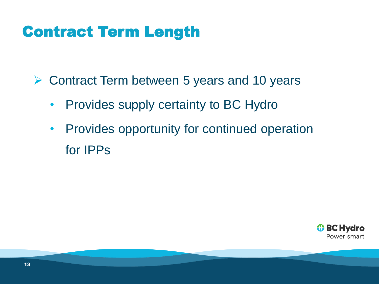### Contract Term Length

➢ Contract Term between 5 years and 10 years

- Provides supply certainty to BC Hydro
- Provides opportunity for continued operation for IPPs

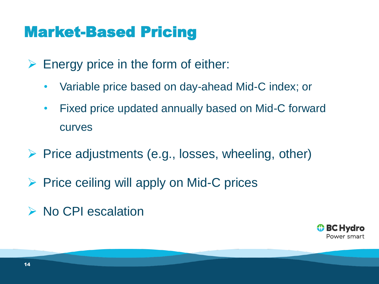#### Market-Based Pricing

- $\triangleright$  Energy price in the form of either:
	- Variable price based on day-ahead Mid-C index; or
	- Fixed price updated annually based on Mid-C forward curves
- $\triangleright$  Price adjustments (e.g., losses, wheeling, other)
- $\triangleright$  Price ceiling will apply on Mid-C prices
- ➢ No CPI escalation

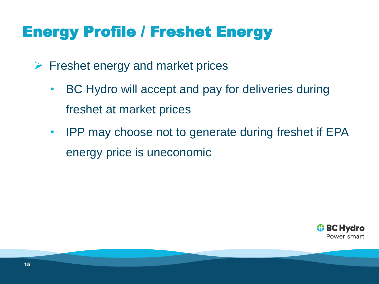## Energy Profile / Freshet Energy

- $\triangleright$  Freshet energy and market prices
	- BC Hydro will accept and pay for deliveries during freshet at market prices
	- IPP may choose not to generate during freshet if EPA energy price is uneconomic

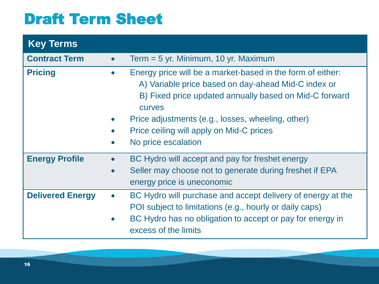## Draft Term Sheet

| <b>Key Terms</b>        |                        |                                                                                                                                                                                                                                                                                                                      |
|-------------------------|------------------------|----------------------------------------------------------------------------------------------------------------------------------------------------------------------------------------------------------------------------------------------------------------------------------------------------------------------|
| <b>Contract Term</b>    | $\bullet$              | Term $=$ 5 yr. Minimum, 10 yr. Maximum                                                                                                                                                                                                                                                                               |
| <b>Pricing</b>          | $\bullet$              | Energy price will be a market-based in the form of either:<br>A) Variable price based on day-ahead Mid-C index or<br>B) Fixed price updated annually based on Mid-C forward<br><b>CULVES</b><br>Price adjustments (e.g., losses, wheeling, other)<br>Price ceiling will apply on Mid-C prices<br>No price escalation |
| <b>Energy Profile</b>   | $\bullet$<br>$\bullet$ | BC Hydro will accept and pay for freshet energy<br>Seller may choose not to generate during freshet if EPA<br>energy price is uneconomic                                                                                                                                                                             |
| <b>Delivered Energy</b> | $\bullet$<br>$\bullet$ | BC Hydro will purchase and accept delivery of energy at the<br>POI subject to limitations (e.g., hourly or daily caps)<br>BC Hydro has no obligation to accept or pay for energy in<br>excess of the limits                                                                                                          |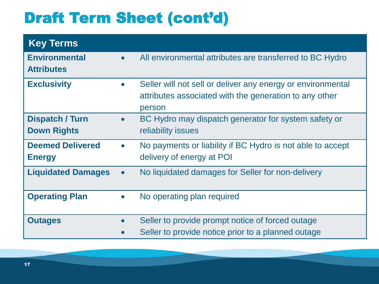# Draft Term Sheet (cont'd)

| <b>Key Terms</b>                          |                        |                                                                                                                                 |
|-------------------------------------------|------------------------|---------------------------------------------------------------------------------------------------------------------------------|
| <b>Environmental</b><br><b>Attributes</b> | $\bullet$              | All environmental attributes are transferred to BC Hydro                                                                        |
| <b>Exclusivity</b>                        | $\bullet$              | Seller will not sell or deliver any energy or environmental<br>attributes associated with the generation to any other<br>person |
| Dispatch / Turn<br><b>Down Rights</b>     | $\bullet$              | BC Hydro may dispatch generator for system safety or<br>reliability issues                                                      |
| <b>Deemed Delivered</b><br><b>Energy</b>  | $\bullet$              | No payments or liability if BC Hydro is not able to accept<br>delivery of energy at POI                                         |
| <b>Liquidated Damages</b>                 | $\bullet$              | No liquidated damages for Seller for non-delivery                                                                               |
| <b>Operating Plan</b>                     | $\bullet$              | No operating plan required                                                                                                      |
| <b>Outages</b>                            | $\bullet$<br>$\bullet$ | Seller to provide prompt notice of forced outage<br>Seller to provide notice prior to a planned outage                          |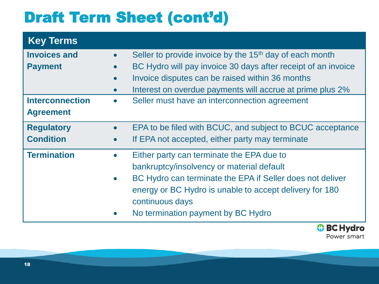# Draft Term Sheet (cont'd)

| <b>Key Terms</b>       |           |                                                                     |
|------------------------|-----------|---------------------------------------------------------------------|
| <b>Invoices and</b>    |           | Seller to provide invoice by the 15 <sup>th</sup> day of each month |
| <b>Payment</b>         |           | BC Hydro will pay invoice 30 days after receipt of an invoice       |
|                        |           | Invoice disputes can be raised within 36 months                     |
|                        |           | Interest on overdue payments will accrue at prime plus 2%           |
| <b>Interconnection</b> |           | Seller must have an interconnection agreement                       |
| <b>Agreement</b>       |           |                                                                     |
| <b>Regulatory</b>      | $\bullet$ | EPA to be filed with BCUC, and subject to BCUC acceptance           |
| <b>Condition</b>       |           | If EPA not accepted, either party may terminate                     |
| <b>Termination</b>     |           | Either party can terminate the EPA due to                           |
|                        |           | bankruptcy/insolvency or material default                           |
|                        |           | BC Hydro can terminate the EPA if Seller does not deliver           |
|                        |           | energy or BC Hydro is unable to accept delivery for 180             |
|                        |           | continuous days                                                     |
|                        |           | No termination payment by BC Hydro                                  |
|                        |           |                                                                     |

*O* BC Hydro Power smart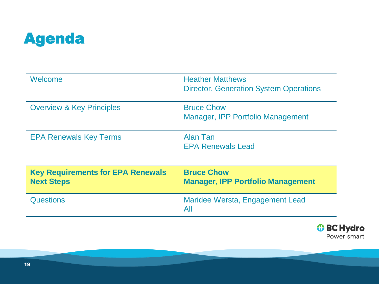

| Welcome                                                       | <b>Heather Matthews</b><br><b>Director, Generation System Operations</b> |
|---------------------------------------------------------------|--------------------------------------------------------------------------|
| <b>Overview &amp; Key Principles</b>                          | <b>Bruce Chow</b><br>Manager, IPP Portfolio Management                   |
| <b>EPA Renewals Key Terms</b>                                 | Alan Tan<br><b>EPA Renewals Lead</b>                                     |
| <b>Key Requirements for EPA Renewals</b><br><b>Next Steps</b> | <b>Bruce Chow</b><br><b>Manager, IPP Portfolio Management</b>            |
| <b>Questions</b>                                              | Maridee Wersta, Engagement Lead<br>All                                   |

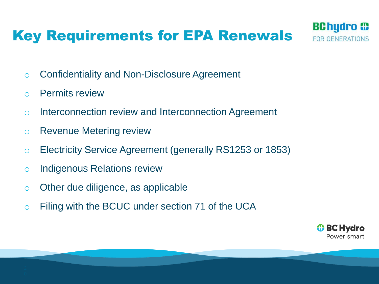#### Key Requirements for EPA Renewals



- o Confidentiality and Non-Disclosure Agreement
- o Permits review
- o Interconnection review and Interconnection Agreement
- o Revenue Metering review
- o Electricity Service Agreement (generally RS1253 or 1853)
- o Indigenous Relations review
- o Other due diligence, as applicable
- o Filing with the BCUC under section 71 of the UCA

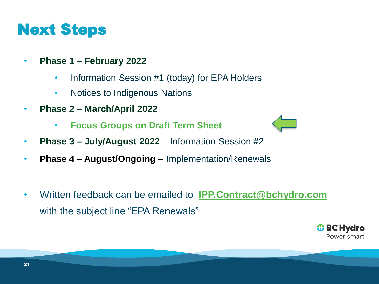#### Next Steps

- **Phase 1 – February 2022** 
	- Information Session #1 (today) for EPA Holders
	- Notices to Indigenous Nations
- **Phase 2 – March/April 2022**
	- **Focus Groups on Draft Term Sheet**
- **Phase 3 – July/August 2022**  Information Session #2
- **Phase 4 – August/Ongoing**  Implementation/Renewals
- Written feedback can be emailed to **[IPP.Contract@bchydro.com](mailto:IPP.Contract@bchydro.com?subject=EPA%20Renewals)** with the subject line "EPA Renewals"

**↔ BC Hydro** Power smart

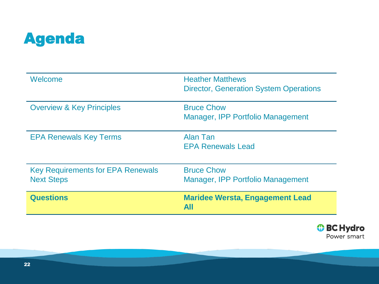

| Welcome                                                       | <b>Heather Matthews</b><br><b>Director, Generation System Operations</b> |
|---------------------------------------------------------------|--------------------------------------------------------------------------|
| <b>Overview &amp; Key Principles</b>                          | <b>Bruce Chow</b><br>Manager, IPP Portfolio Management                   |
| <b>EPA Renewals Key Terms</b>                                 | Alan Tan<br><b>EPA Renewals Lead</b>                                     |
| <b>Key Requirements for EPA Renewals</b><br><b>Next Steps</b> | <b>Bruce Chow</b><br>Manager, IPP Portfolio Management                   |
| <b>Questions</b>                                              | <b>Maridee Wersta, Engagement Lead</b><br>All                            |